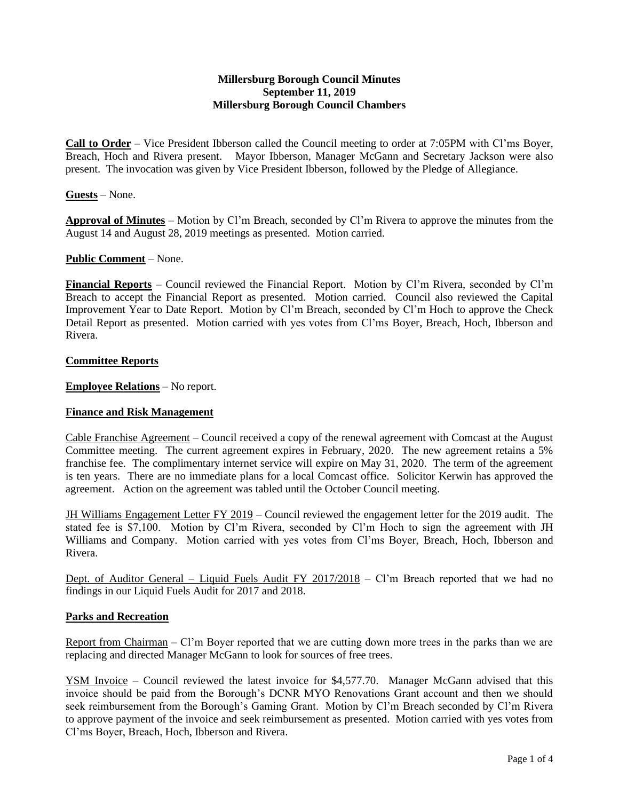## **Millersburg Borough Council Minutes September 11, 2019 Millersburg Borough Council Chambers**

**Call to Order** – Vice President Ibberson called the Council meeting to order at 7:05PM with Cl'ms Boyer, Breach, Hoch and Rivera present. Mayor Ibberson, Manager McGann and Secretary Jackson were also present. The invocation was given by Vice President Ibberson, followed by the Pledge of Allegiance.

## **Guests** – None.

**Approval of Minutes** – Motion by Cl'm Breach, seconded by Cl'm Rivera to approve the minutes from the August 14 and August 28, 2019 meetings as presented. Motion carried.

### **Public Comment** – None.

**Financial Reports** – Council reviewed the Financial Report. Motion by Cl'm Rivera, seconded by Cl'm Breach to accept the Financial Report as presented. Motion carried. Council also reviewed the Capital Improvement Year to Date Report. Motion by Cl'm Breach, seconded by Cl'm Hoch to approve the Check Detail Report as presented. Motion carried with yes votes from Cl'ms Boyer, Breach, Hoch, Ibberson and Rivera.

### **Committee Reports**

**Employee Relations** – No report.

## **Finance and Risk Management**

Cable Franchise Agreement – Council received a copy of the renewal agreement with Comcast at the August Committee meeting. The current agreement expires in February, 2020. The new agreement retains a 5% franchise fee. The complimentary internet service will expire on May 31, 2020. The term of the agreement is ten years. There are no immediate plans for a local Comcast office. Solicitor Kerwin has approved the agreement. Action on the agreement was tabled until the October Council meeting.

JH Williams Engagement Letter FY 2019 – Council reviewed the engagement letter for the 2019 audit. The stated fee is \$7,100. Motion by Cl'm Rivera, seconded by Cl'm Hoch to sign the agreement with JH Williams and Company. Motion carried with yes votes from Cl'ms Boyer, Breach, Hoch, Ibberson and Rivera.

Dept. of Auditor General – Liquid Fuels Audit FY 2017/2018 – Cl'm Breach reported that we had no findings in our Liquid Fuels Audit for 2017 and 2018.

#### **Parks and Recreation**

Report from Chairman – Cl'm Boyer reported that we are cutting down more trees in the parks than we are replacing and directed Manager McGann to look for sources of free trees.

YSM Invoice – Council reviewed the latest invoice for \$4,577.70. Manager McGann advised that this invoice should be paid from the Borough's DCNR MYO Renovations Grant account and then we should seek reimbursement from the Borough's Gaming Grant. Motion by Cl'm Breach seconded by Cl'm Rivera to approve payment of the invoice and seek reimbursement as presented. Motion carried with yes votes from Cl'ms Boyer, Breach, Hoch, Ibberson and Rivera.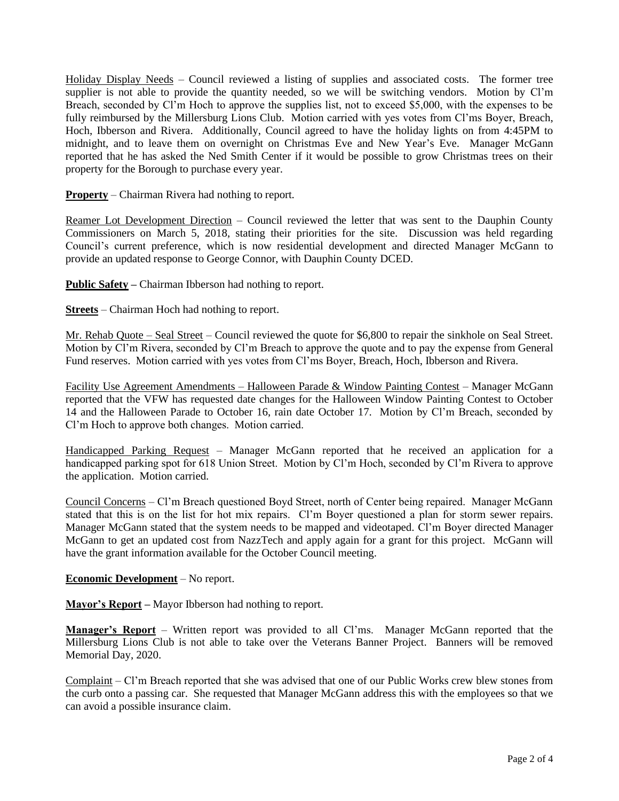Holiday Display Needs – Council reviewed a listing of supplies and associated costs. The former tree supplier is not able to provide the quantity needed, so we will be switching vendors. Motion by Cl'm Breach, seconded by Cl'm Hoch to approve the supplies list, not to exceed \$5,000, with the expenses to be fully reimbursed by the Millersburg Lions Club. Motion carried with yes votes from Cl'ms Boyer, Breach, Hoch, Ibberson and Rivera. Additionally, Council agreed to have the holiday lights on from 4:45PM to midnight, and to leave them on overnight on Christmas Eve and New Year's Eve. Manager McGann reported that he has asked the Ned Smith Center if it would be possible to grow Christmas trees on their property for the Borough to purchase every year.

**Property** – Chairman Rivera had nothing to report.

Reamer Lot Development Direction – Council reviewed the letter that was sent to the Dauphin County Commissioners on March 5, 2018, stating their priorities for the site. Discussion was held regarding Council's current preference, which is now residential development and directed Manager McGann to provide an updated response to George Connor, with Dauphin County DCED.

**Public Safety –** Chairman Ibberson had nothing to report.

**Streets** – Chairman Hoch had nothing to report.

Mr. Rehab Quote – Seal Street – Council reviewed the quote for \$6,800 to repair the sinkhole on Seal Street. Motion by Cl'm Rivera, seconded by Cl'm Breach to approve the quote and to pay the expense from General Fund reserves. Motion carried with yes votes from Cl'ms Boyer, Breach, Hoch, Ibberson and Rivera.

Facility Use Agreement Amendments – Halloween Parade & Window Painting Contest – Manager McGann reported that the VFW has requested date changes for the Halloween Window Painting Contest to October 14 and the Halloween Parade to October 16, rain date October 17. Motion by Cl'm Breach, seconded by Cl'm Hoch to approve both changes. Motion carried.

Handicapped Parking Request – Manager McGann reported that he received an application for a handicapped parking spot for 618 Union Street. Motion by Cl'm Hoch, seconded by Cl'm Rivera to approve the application. Motion carried.

Council Concerns – Cl'm Breach questioned Boyd Street, north of Center being repaired. Manager McGann stated that this is on the list for hot mix repairs. Cl'm Boyer questioned a plan for storm sewer repairs. Manager McGann stated that the system needs to be mapped and videotaped. Cl'm Boyer directed Manager McGann to get an updated cost from NazzTech and apply again for a grant for this project. McGann will have the grant information available for the October Council meeting.

## **Economic Development** – No report.

**Mayor's Report –** Mayor Ibberson had nothing to report.

**Manager's Report** – Written report was provided to all Cl'ms. Manager McGann reported that the Millersburg Lions Club is not able to take over the Veterans Banner Project. Banners will be removed Memorial Day, 2020.

Complaint – Cl'm Breach reported that she was advised that one of our Public Works crew blew stones from the curb onto a passing car. She requested that Manager McGann address this with the employees so that we can avoid a possible insurance claim.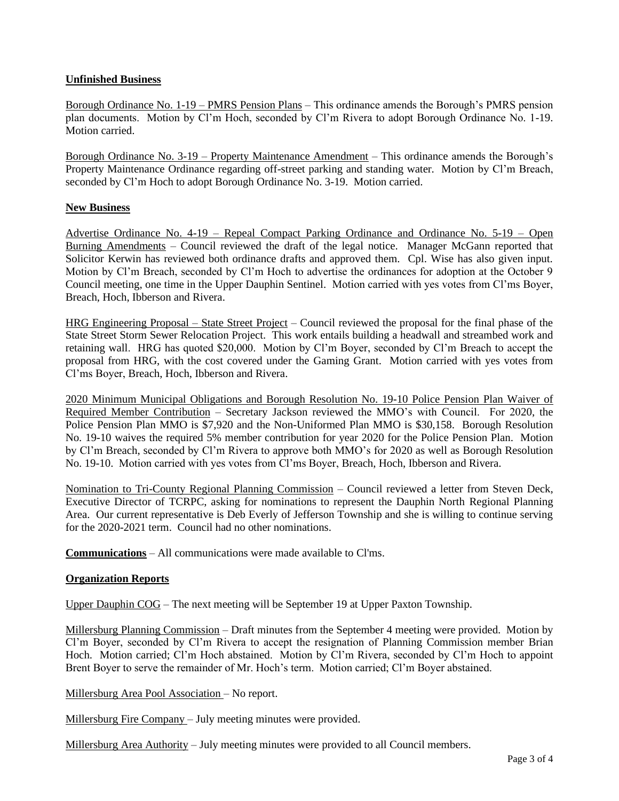# **Unfinished Business**

Borough Ordinance No. 1-19 – PMRS Pension Plans – This ordinance amends the Borough's PMRS pension plan documents. Motion by Cl'm Hoch, seconded by Cl'm Rivera to adopt Borough Ordinance No. 1-19. Motion carried.

Borough Ordinance No. 3-19 – Property Maintenance Amendment – This ordinance amends the Borough's Property Maintenance Ordinance regarding off-street parking and standing water. Motion by Cl'm Breach, seconded by Cl'm Hoch to adopt Borough Ordinance No. 3-19. Motion carried.

## **New Business**

Advertise Ordinance No. 4-19 – Repeal Compact Parking Ordinance and Ordinance No. 5-19 – Open Burning Amendments – Council reviewed the draft of the legal notice. Manager McGann reported that Solicitor Kerwin has reviewed both ordinance drafts and approved them. Cpl. Wise has also given input. Motion by Cl'm Breach, seconded by Cl'm Hoch to advertise the ordinances for adoption at the October 9 Council meeting, one time in the Upper Dauphin Sentinel. Motion carried with yes votes from Cl'ms Boyer, Breach, Hoch, Ibberson and Rivera.

HRG Engineering Proposal – State Street Project – Council reviewed the proposal for the final phase of the State Street Storm Sewer Relocation Project. This work entails building a headwall and streambed work and retaining wall. HRG has quoted \$20,000. Motion by Cl'm Boyer, seconded by Cl'm Breach to accept the proposal from HRG, with the cost covered under the Gaming Grant. Motion carried with yes votes from Cl'ms Boyer, Breach, Hoch, Ibberson and Rivera.

2020 Minimum Municipal Obligations and Borough Resolution No. 19-10 Police Pension Plan Waiver of Required Member Contribution – Secretary Jackson reviewed the MMO's with Council. For 2020, the Police Pension Plan MMO is \$7,920 and the Non-Uniformed Plan MMO is \$30,158. Borough Resolution No. 19-10 waives the required 5% member contribution for year 2020 for the Police Pension Plan. Motion by Cl'm Breach, seconded by Cl'm Rivera to approve both MMO's for 2020 as well as Borough Resolution No. 19-10. Motion carried with yes votes from Cl'ms Boyer, Breach, Hoch, Ibberson and Rivera.

Nomination to Tri-County Regional Planning Commission – Council reviewed a letter from Steven Deck, Executive Director of TCRPC, asking for nominations to represent the Dauphin North Regional Planning Area. Our current representative is Deb Everly of Jefferson Township and she is willing to continue serving for the 2020-2021 term. Council had no other nominations.

**Communications** – All communications were made available to Cl'ms.

## **Organization Reports**

Upper Dauphin COG – The next meeting will be September 19 at Upper Paxton Township.

Millersburg Planning Commission – Draft minutes from the September 4 meeting were provided. Motion by Cl'm Boyer, seconded by Cl'm Rivera to accept the resignation of Planning Commission member Brian Hoch. Motion carried; Cl'm Hoch abstained. Motion by Cl'm Rivera, seconded by Cl'm Hoch to appoint Brent Boyer to serve the remainder of Mr. Hoch's term. Motion carried; Cl'm Boyer abstained.

Millersburg Area Pool Association – No report.

Millersburg Fire Company – July meeting minutes were provided.

Millersburg Area Authority – July meeting minutes were provided to all Council members.